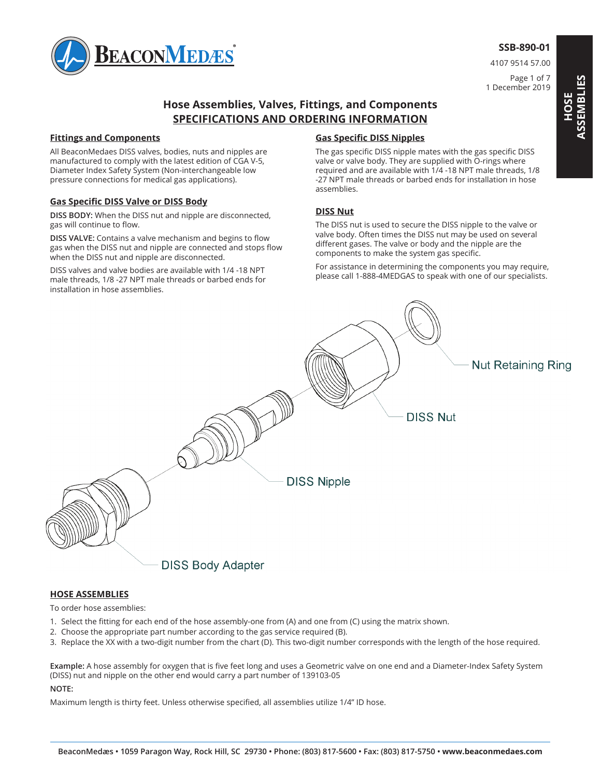

4107 9514 57.00

Page 1 of 7 1 December 2019

# **Hose Assemblies, Valves, Fittings, and Components SPECIFICATIONS AND ORDERING INFORMATION**

### **Fittings and Components**

All BeaconMedaes DISS valves, bodies, nuts and nipples are manufactured to comply with the latest edition of CGA V-5, Diameter Index Safety System (Non-interchangeable low pressure connections for medical gas applications).

### **Gas Specific DISS Valve or DISS Body**

**DISS BODY:** When the DISS nut and nipple are disconnected, gas will continue to flow.

**DISS VALVE:** Contains a valve mechanism and begins to flow gas when the DISS nut and nipple are connected and stops flow when the DISS nut and nipple are disconnected.

DISS valves and valve bodies are available with 1/4 -18 NPT male threads, 1/8 -27 NPT male threads or barbed ends for installation in hose assemblies.

### **Gas Specific DISS Nipples**

The gas specific DISS nipple mates with the gas specific DISS valve or valve body. They are supplied with O-rings where required and are available with 1/4 -18 NPT male threads, 1/8 -27 NPT male threads or barbed ends for installation in hose assemblies.

### **DISS Nut**

The DISS nut is used to secure the DISS nipple to the valve or valve body. Often times the DISS nut may be used on several different gases. The valve or body and the nipple are the components to make the system gas specific.

For assistance in determining the components you may require, please call 1-888-4MEDGAS to speak with one of our specialists.



#### **HOSE ASSEMBLIES**

To order hose assemblies:

- 1. Select the fitting for each end of the hose assembly-one from (A) and one from (C) using the matrix shown.
- 2. Choose the appropriate part number according to the gas service required (B).
- 3. Replace the XX with a two-digit number from the chart (D). This two-digit number corresponds with the length of the hose required.

Example: A hose assembly for oxygen that is five feet long and uses a Geometric valve on one end and a Diameter-Index Safety System (DISS) nut and nipple on the other end would carry a part number of 139103-05

#### **NOTE:**

Maximum length is thirty feet. Unless otherwise specified, all assemblies utilize 1/4" ID hose.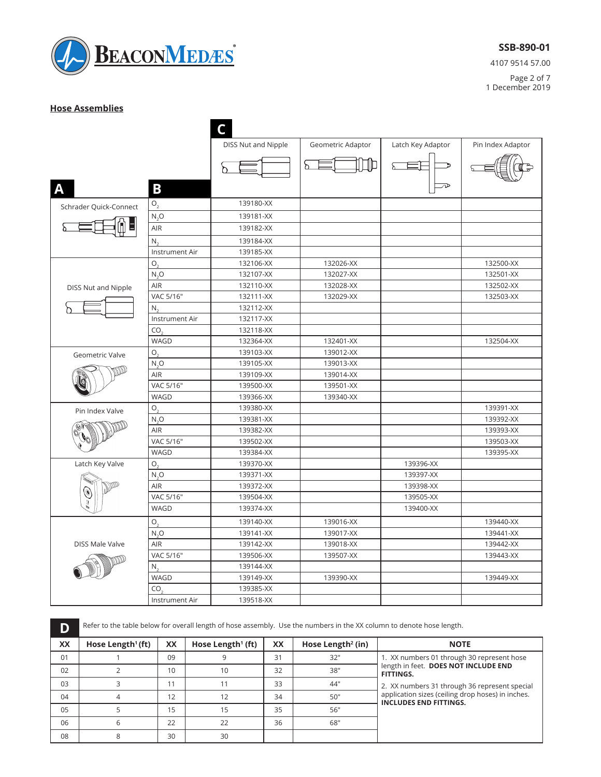

4107 9514 57.00

Page 2 of 7 1 December 2019

### **Hose Assemblies**

| DISS Nut and Nipple<br>Geometric Adaptor<br>Latch Key Adaptor<br>Pin Index Adaptor<br>⊪<br>ბ<br>≫<br>B<br>A<br>139180-XX<br>$\mathsf{O}_2$<br>Schrader Quick-Connect<br>139181-XX<br>$N_2O$<br><b>AIR</b><br>139182-XX<br>139184-XX<br>$N_{\gamma}$<br>139185-XX<br>Instrument Air<br>O.<br>132106-XX<br>132026-XX<br>132500-XX<br>N, O<br>132107-XX<br>132027-XX<br>132501-XX<br>AIR<br>132110-XX<br>132028-XX<br>132502-XX<br>DISS Nut and Nipple<br>VAC 5/16"<br>132111-XX<br>132029-XX<br>132503-XX<br>132112-XX<br>N.<br>Instrument Air<br>132117-XX<br>132118-XX<br>CO.<br>WAGD<br>132364-XX<br>132401-XX<br>132504-XX<br>139103-XX<br>О.<br>139012-XX<br>Geometric Valve<br>N, O<br>139105-XX<br>139013-XX<br>AIR<br>139109-XX<br>139014-XX<br>VAC 5/16"<br>139500-XX<br>139501-XX<br>WAGD<br>139366-XX<br>139340-XX<br>139380-XX<br>139391-XX<br>О,<br>Pin Index Valve<br>139381-XX<br>139392-XX<br>$N_2O$<br>AIR<br>139382-XX<br>139393-XX |  |
|-----------------------------------------------------------------------------------------------------------------------------------------------------------------------------------------------------------------------------------------------------------------------------------------------------------------------------------------------------------------------------------------------------------------------------------------------------------------------------------------------------------------------------------------------------------------------------------------------------------------------------------------------------------------------------------------------------------------------------------------------------------------------------------------------------------------------------------------------------------------------------------------------------------------------------------------------------|--|
|                                                                                                                                                                                                                                                                                                                                                                                                                                                                                                                                                                                                                                                                                                                                                                                                                                                                                                                                                     |  |
|                                                                                                                                                                                                                                                                                                                                                                                                                                                                                                                                                                                                                                                                                                                                                                                                                                                                                                                                                     |  |
|                                                                                                                                                                                                                                                                                                                                                                                                                                                                                                                                                                                                                                                                                                                                                                                                                                                                                                                                                     |  |
|                                                                                                                                                                                                                                                                                                                                                                                                                                                                                                                                                                                                                                                                                                                                                                                                                                                                                                                                                     |  |
|                                                                                                                                                                                                                                                                                                                                                                                                                                                                                                                                                                                                                                                                                                                                                                                                                                                                                                                                                     |  |
|                                                                                                                                                                                                                                                                                                                                                                                                                                                                                                                                                                                                                                                                                                                                                                                                                                                                                                                                                     |  |
|                                                                                                                                                                                                                                                                                                                                                                                                                                                                                                                                                                                                                                                                                                                                                                                                                                                                                                                                                     |  |
|                                                                                                                                                                                                                                                                                                                                                                                                                                                                                                                                                                                                                                                                                                                                                                                                                                                                                                                                                     |  |
|                                                                                                                                                                                                                                                                                                                                                                                                                                                                                                                                                                                                                                                                                                                                                                                                                                                                                                                                                     |  |
|                                                                                                                                                                                                                                                                                                                                                                                                                                                                                                                                                                                                                                                                                                                                                                                                                                                                                                                                                     |  |
|                                                                                                                                                                                                                                                                                                                                                                                                                                                                                                                                                                                                                                                                                                                                                                                                                                                                                                                                                     |  |
|                                                                                                                                                                                                                                                                                                                                                                                                                                                                                                                                                                                                                                                                                                                                                                                                                                                                                                                                                     |  |
|                                                                                                                                                                                                                                                                                                                                                                                                                                                                                                                                                                                                                                                                                                                                                                                                                                                                                                                                                     |  |
|                                                                                                                                                                                                                                                                                                                                                                                                                                                                                                                                                                                                                                                                                                                                                                                                                                                                                                                                                     |  |
|                                                                                                                                                                                                                                                                                                                                                                                                                                                                                                                                                                                                                                                                                                                                                                                                                                                                                                                                                     |  |
|                                                                                                                                                                                                                                                                                                                                                                                                                                                                                                                                                                                                                                                                                                                                                                                                                                                                                                                                                     |  |
|                                                                                                                                                                                                                                                                                                                                                                                                                                                                                                                                                                                                                                                                                                                                                                                                                                                                                                                                                     |  |
|                                                                                                                                                                                                                                                                                                                                                                                                                                                                                                                                                                                                                                                                                                                                                                                                                                                                                                                                                     |  |
|                                                                                                                                                                                                                                                                                                                                                                                                                                                                                                                                                                                                                                                                                                                                                                                                                                                                                                                                                     |  |
|                                                                                                                                                                                                                                                                                                                                                                                                                                                                                                                                                                                                                                                                                                                                                                                                                                                                                                                                                     |  |
|                                                                                                                                                                                                                                                                                                                                                                                                                                                                                                                                                                                                                                                                                                                                                                                                                                                                                                                                                     |  |
|                                                                                                                                                                                                                                                                                                                                                                                                                                                                                                                                                                                                                                                                                                                                                                                                                                                                                                                                                     |  |
|                                                                                                                                                                                                                                                                                                                                                                                                                                                                                                                                                                                                                                                                                                                                                                                                                                                                                                                                                     |  |
|                                                                                                                                                                                                                                                                                                                                                                                                                                                                                                                                                                                                                                                                                                                                                                                                                                                                                                                                                     |  |
| VAC 5/16"<br>139502-XX<br>139503-XX                                                                                                                                                                                                                                                                                                                                                                                                                                                                                                                                                                                                                                                                                                                                                                                                                                                                                                                 |  |
| WAGD<br>139384-XX<br>139395-XX                                                                                                                                                                                                                                                                                                                                                                                                                                                                                                                                                                                                                                                                                                                                                                                                                                                                                                                      |  |
| Latch Key Valve<br>$\mathsf{O}$<br>139370-XX<br>139396-XX                                                                                                                                                                                                                                                                                                                                                                                                                                                                                                                                                                                                                                                                                                                                                                                                                                                                                           |  |
| 139371-XX<br>139397-XX<br>N, O                                                                                                                                                                                                                                                                                                                                                                                                                                                                                                                                                                                                                                                                                                                                                                                                                                                                                                                      |  |
| AIR<br>139372-XX<br>139398-XX                                                                                                                                                                                                                                                                                                                                                                                                                                                                                                                                                                                                                                                                                                                                                                                                                                                                                                                       |  |
| VAC 5/16"<br>139504-XX<br>139505-XX                                                                                                                                                                                                                                                                                                                                                                                                                                                                                                                                                                                                                                                                                                                                                                                                                                                                                                                 |  |
| WAGD<br>139374-XX<br>139400-XX                                                                                                                                                                                                                                                                                                                                                                                                                                                                                                                                                                                                                                                                                                                                                                                                                                                                                                                      |  |
| $O_{\gamma}$<br>139140-XX<br>139016-XX<br>139440-XX                                                                                                                                                                                                                                                                                                                                                                                                                                                                                                                                                                                                                                                                                                                                                                                                                                                                                                 |  |
| N, O<br>139141-XX<br>139017-XX<br>139441-XX                                                                                                                                                                                                                                                                                                                                                                                                                                                                                                                                                                                                                                                                                                                                                                                                                                                                                                         |  |
| <b>AIR</b><br>139142-XX<br>139018-XX<br>139442-XX<br><b>DISS Male Valve</b>                                                                                                                                                                                                                                                                                                                                                                                                                                                                                                                                                                                                                                                                                                                                                                                                                                                                         |  |
| VAC 5/16"<br>139506-XX<br>139507-XX<br>139443-XX                                                                                                                                                                                                                                                                                                                                                                                                                                                                                                                                                                                                                                                                                                                                                                                                                                                                                                    |  |
| N.<br>139144-XX                                                                                                                                                                                                                                                                                                                                                                                                                                                                                                                                                                                                                                                                                                                                                                                                                                                                                                                                     |  |
| 139149-XX<br>139390-XX<br>139449-XX<br>WAGD                                                                                                                                                                                                                                                                                                                                                                                                                                                                                                                                                                                                                                                                                                                                                                                                                                                                                                         |  |
| CO.<br>139385-XX                                                                                                                                                                                                                                                                                                                                                                                                                                                                                                                                                                                                                                                                                                                                                                                                                                                                                                                                    |  |
| Instrument Air<br>139518-XX                                                                                                                                                                                                                                                                                                                                                                                                                                                                                                                                                                                                                                                                                                                                                                                                                                                                                                                         |  |

**D** Refer to the table below for overall length of hose assembly. Use the numbers in the XX column to denote hose length.

| <b>XX</b> | Hose Length <sup>1</sup> (ft) | XX | Hose Length <sup>1</sup> (ft) | XX | Hose Length <sup>2</sup> (in) | <b>NOTE</b>                                                                        |
|-----------|-------------------------------|----|-------------------------------|----|-------------------------------|------------------------------------------------------------------------------------|
| 01        |                               | 09 | 9                             | 31 | 32"                           | 1. XX numbers 01 through 30 represent hose                                         |
| 02        |                               | 10 | 10                            | 32 | 38"                           | length in feet. DOES NOT INCLUDE END<br><b>FITTINGS.</b>                           |
| 03        |                               | 11 | 11                            | 33 | 44"                           | 2. XX numbers 31 through 36 represent special                                      |
| 04        |                               | 12 | 12                            | 34 | 50"                           | application sizes (ceiling drop hoses) in inches.<br><b>INCLUDES END FITTINGS.</b> |
| 05        |                               | 15 | 15                            | 35 | 56"                           |                                                                                    |
| 06        |                               | 22 | 22                            | 36 | 68"                           |                                                                                    |
| 08        | 8                             | 30 | 30                            |    |                               |                                                                                    |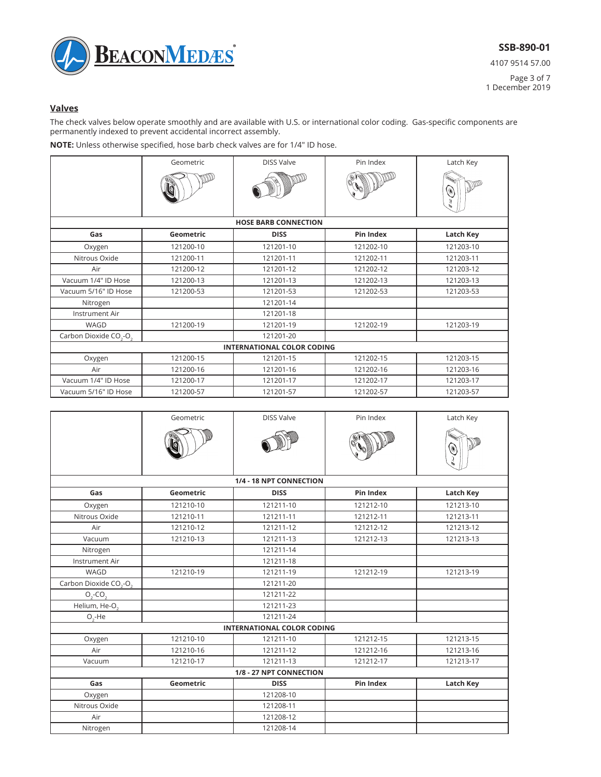

4107 9514 57.00 Page 3 of 7 1 December 2019

## **Valves**

The check valves below operate smoothly and are available with U.S. or international color coding. Gas-specific components are permanently indexed to prevent accidental incorrect assembly.

**NOTE:** Unless otherwise specified, hose barb check valves are for 1/4" ID hose.

|                                                | Geometric | <b>DISS Valve</b>           | Pin Index        | Latch Key        |  |
|------------------------------------------------|-----------|-----------------------------|------------------|------------------|--|
|                                                |           |                             |                  | Ò<br>ū           |  |
|                                                |           | <b>HOSE BARB CONNECTION</b> |                  |                  |  |
| Gas                                            | Geometric | <b>DISS</b>                 | <b>Pin Index</b> | <b>Latch Key</b> |  |
| Oxygen                                         | 121200-10 | 121201-10                   | 121202-10        | 121203-10        |  |
| Nitrous Oxide                                  | 121200-11 | 121201-11                   | 121202-11        | 121203-11        |  |
| Air                                            | 121200-12 | 121201-12                   | 121202-12        | 121203-12        |  |
| Vacuum 1/4" ID Hose                            | 121200-13 | 121201-13                   | 121202-13        | 121203-13        |  |
| Vacuum 5/16" ID Hose                           | 121200-53 | 121201-53                   | 121202-53        | 121203-53        |  |
| Nitrogen                                       |           | 121201-14                   |                  |                  |  |
| Instrument Air                                 |           | 121201-18                   |                  |                  |  |
| WAGD                                           | 121200-19 | 121201-19                   | 121202-19        | 121203-19        |  |
| Carbon Dioxide CO <sub>3</sub> -O <sub>3</sub> |           | 121201-20                   |                  |                  |  |
| <b>INTERNATIONAL COLOR CODING</b>              |           |                             |                  |                  |  |
| Oxygen                                         | 121200-15 | 121201-15                   | 121202-15        | 121203-15        |  |
| Air                                            | 121200-16 | 121201-16                   | 121202-16        | 121203-16        |  |
| Vacuum 1/4" ID Hose                            | 121200-17 | 121201-17                   | 121202-17        | 121203-17        |  |
| Vacuum 5/16" ID Hose                           | 121200-57 | 121201-57                   | 121202-57        | 121203-57        |  |

|                                                | Geometric | <b>DISS Valve</b>                 | Pin Index        | Latch Key        |  |  |  |
|------------------------------------------------|-----------|-----------------------------------|------------------|------------------|--|--|--|
|                                                |           |                                   |                  |                  |  |  |  |
|                                                |           | 1/4 - 18 NPT CONNECTION           |                  |                  |  |  |  |
| Gas                                            | Geometric | <b>DISS</b>                       | <b>Pin Index</b> | <b>Latch Key</b> |  |  |  |
| Oxygen                                         | 121210-10 | 121211-10                         | 121212-10        | 121213-10        |  |  |  |
| Nitrous Oxide                                  | 121210-11 | 121211-11                         | 121212-11        | 121213-11        |  |  |  |
| Air                                            | 121210-12 | 121211-12                         | 121212-12        | 121213-12        |  |  |  |
| Vacuum                                         | 121210-13 | 121211-13                         | 121212-13        | 121213-13        |  |  |  |
| Nitrogen                                       |           | 121211-14                         |                  |                  |  |  |  |
| Instrument Air                                 |           | 121211-18                         |                  |                  |  |  |  |
| WAGD                                           | 121210-19 | 121211-19                         | 121212-19        | 121213-19        |  |  |  |
| Carbon Dioxide CO <sub>2</sub> -O <sub>2</sub> |           | 121211-20                         |                  |                  |  |  |  |
| $O2-CO2$                                       |           | 121211-22                         |                  |                  |  |  |  |
| Helium, He-O.                                  |           | 121211-23                         |                  |                  |  |  |  |
| $O, -He$                                       |           | 121211-24                         |                  |                  |  |  |  |
|                                                |           | <b>INTERNATIONAL COLOR CODING</b> |                  |                  |  |  |  |
| Oxygen                                         | 121210-10 | 121211-10                         | 121212-15        | 121213-15        |  |  |  |
| Air                                            | 121210-16 | 121211-12                         | 121212-16        | 121213-16        |  |  |  |
| Vacuum                                         | 121210-17 | 121211-13                         | 121212-17        | 121213-17        |  |  |  |
| 1/8 - 27 NPT CONNECTION                        |           |                                   |                  |                  |  |  |  |
| Gas                                            | Geometric | <b>DISS</b>                       | <b>Pin Index</b> | <b>Latch Key</b> |  |  |  |
| Oxygen                                         |           | 121208-10                         |                  |                  |  |  |  |
| Nitrous Oxide                                  |           | 121208-11                         |                  |                  |  |  |  |
| Air                                            |           | 121208-12                         |                  |                  |  |  |  |
| Nitrogen                                       |           | 121208-14                         |                  |                  |  |  |  |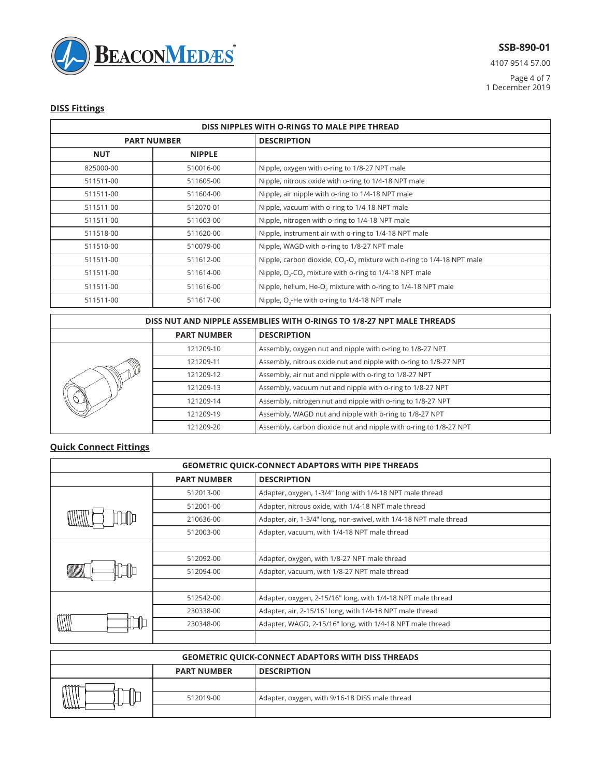

4107 9514 57.00

Page 4 of 7 1 December 2019

## **DISS Fittings**

| DISS NIPPLES WITH O-RINGS TO MALE PIPE THREAD |                    |                                                                                |  |  |
|-----------------------------------------------|--------------------|--------------------------------------------------------------------------------|--|--|
|                                               | <b>PART NUMBER</b> | <b>DESCRIPTION</b>                                                             |  |  |
| <b>NUT</b>                                    | <b>NIPPLE</b>      |                                                                                |  |  |
| 825000-00                                     | 510016-00          | Nipple, oxygen with o-ring to 1/8-27 NPT male                                  |  |  |
| 511511-00                                     | 511605-00          | Nipple, nitrous oxide with o-ring to 1/4-18 NPT male                           |  |  |
| 511511-00                                     | 511604-00          | Nipple, air nipple with o-ring to 1/4-18 NPT male                              |  |  |
| 511511-00                                     | 512070-01          | Nipple, vacuum with o-ring to 1/4-18 NPT male                                  |  |  |
| 511511-00                                     | 511603-00          | Nipple, nitrogen with o-ring to 1/4-18 NPT male                                |  |  |
| 511518-00                                     | 511620-00          | Nipple, instrument air with o-ring to 1/4-18 NPT male                          |  |  |
| 511510-00                                     | 510079-00          | Nipple, WAGD with o-ring to 1/8-27 NPT male                                    |  |  |
| 511511-00                                     | 511612-00          | Nipple, carbon dioxide, $CO2-O2$ mixture with o-ring to 1/4-18 NPT male        |  |  |
| 511511-00                                     | 511614-00          | Nipple, O <sub>2</sub> -CO <sub>2</sub> mixture with o-ring to 1/4-18 NPT male |  |  |
| 511511-00                                     | 511616-00          | Nipple, helium, He-O <sub>2</sub> mixture with o-ring to 1/4-18 NPT male       |  |  |
| 511511-00                                     | 511617-00          | Nipple, O <sub>2</sub> -He with o-ring to 1/4-18 NPT male                      |  |  |

| DISS NUT AND NIPPLE ASSEMBLIES WITH O-RINGS TO 1/8-27 NPT MALE THREADS |                    |                                                                   |  |  |
|------------------------------------------------------------------------|--------------------|-------------------------------------------------------------------|--|--|
|                                                                        | <b>PART NUMBER</b> | <b>DESCRIPTION</b>                                                |  |  |
| vY                                                                     | 121209-10          | Assembly, oxygen nut and nipple with o-ring to 1/8-27 NPT         |  |  |
|                                                                        | 121209-11          | Assembly, nitrous oxide nut and nipple with o-ring to 1/8-27 NPT  |  |  |
|                                                                        | 121209-12          | Assembly, air nut and nipple with o-ring to 1/8-27 NPT            |  |  |
|                                                                        | 121209-13          | Assembly, vacuum nut and nipple with o-ring to 1/8-27 NPT         |  |  |
|                                                                        | 121209-14          | Assembly, nitrogen nut and nipple with o-ring to 1/8-27 NPT       |  |  |
|                                                                        | 121209-19          | Assembly, WAGD nut and nipple with o-ring to 1/8-27 NPT           |  |  |
|                                                                        | 121209-20          | Assembly, carbon dioxide nut and nipple with o-ring to 1/8-27 NPT |  |  |

## **Quick Connect Fittings**

| <b>GEOMETRIC QUICK-CONNECT ADAPTORS WITH PIPE THREADS</b> |                    |                                                                    |  |
|-----------------------------------------------------------|--------------------|--------------------------------------------------------------------|--|
|                                                           | <b>PART NUMBER</b> | <b>DESCRIPTION</b>                                                 |  |
|                                                           | 512013-00          | Adapter, oxygen, 1-3/4" long with 1/4-18 NPT male thread           |  |
|                                                           | 512001-00          | Adapter, nitrous oxide, with 1/4-18 NPT male thread                |  |
| IIII                                                      | 210636-00          | Adapter, air, 1-3/4" long, non-swivel, with 1/4-18 NPT male thread |  |
|                                                           | 512003-00          | Adapter, vacuum, with 1/4-18 NPT male thread                       |  |
|                                                           |                    |                                                                    |  |
| ШJ                                                        | 512092-00          | Adapter, oxygen, with 1/8-27 NPT male thread                       |  |
|                                                           | 512094-00          | Adapter, vacuum, with 1/8-27 NPT male thread                       |  |
|                                                           |                    |                                                                    |  |
|                                                           | 512542-00          | Adapter, oxygen, 2-15/16" long, with 1/4-18 NPT male thread        |  |
|                                                           | 230338-00          | Adapter, air, 2-15/16" long, with 1/4-18 NPT male thread           |  |
|                                                           | 230348-00          | Adapter, WAGD, 2-15/16" long, with 1/4-18 NPT male thread          |  |
|                                                           |                    |                                                                    |  |

| <b>GEOMETRIC QUICK-CONNECT ADAPTORS WITH DISS THREADS</b> |           |                                                |  |  |  |
|-----------------------------------------------------------|-----------|------------------------------------------------|--|--|--|
| <b>PART NUMBER</b><br><b>DESCRIPTION</b>                  |           |                                                |  |  |  |
|                                                           |           |                                                |  |  |  |
|                                                           | 512019-00 | Adapter, oxygen, with 9/16-18 DISS male thread |  |  |  |
|                                                           |           |                                                |  |  |  |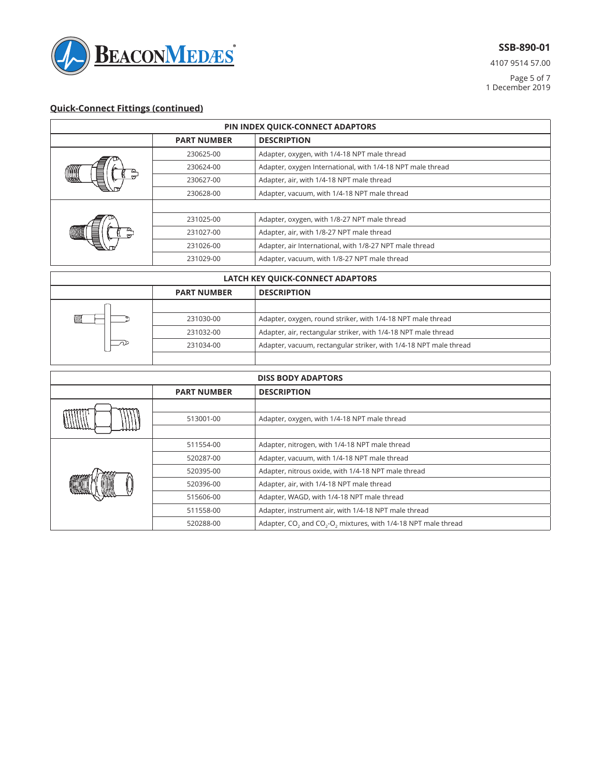

4107 9514 57.00

Page 5 of 7 1 December 2019

# **Quick-Connect Fittings (continued)**

| PIN INDEX QUICK-CONNECT ADAPTORS    |                    |                                                            |  |
|-------------------------------------|--------------------|------------------------------------------------------------|--|
|                                     | <b>PART NUMBER</b> | <b>DESCRIPTION</b>                                         |  |
|                                     | 230625-00          | Adapter, oxygen, with 1/4-18 NPT male thread               |  |
|                                     | 230624-00          | Adapter, oxygen International, with 1/4-18 NPT male thread |  |
| <u>Form</u><br>$\frac{\omega}{\pi}$ | 230627-00          | Adapter, air, with 1/4-18 NPT male thread                  |  |
|                                     | 230628-00          | Adapter, vacuum, with 1/4-18 NPT male thread               |  |
|                                     |                    |                                                            |  |
|                                     | 231025-00          | Adapter, oxygen, with 1/8-27 NPT male thread               |  |
|                                     | 231027-00          | Adapter, air, with 1/8-27 NPT male thread                  |  |
|                                     | 231026-00          | Adapter, air International, with 1/8-27 NPT male thread    |  |
|                                     | 231029-00          | Adapter, vacuum, with 1/8-27 NPT male thread               |  |
|                                     |                    |                                                            |  |

| LATCH KEY QUICK-CONNECT ADAPTORS         |           |                                                                   |  |  |  |
|------------------------------------------|-----------|-------------------------------------------------------------------|--|--|--|
| <b>DESCRIPTION</b><br><b>PART NUMBER</b> |           |                                                                   |  |  |  |
|                                          |           |                                                                   |  |  |  |
| WW                                       | 231030-00 | Adapter, oxygen, round striker, with 1/4-18 NPT male thread       |  |  |  |
|                                          | 231032-00 | Adapter, air, rectangular striker, with 1/4-18 NPT male thread    |  |  |  |
|                                          | 231034-00 | Adapter, vacuum, rectangular striker, with 1/4-18 NPT male thread |  |  |  |
|                                          |           |                                                                   |  |  |  |

| <b>DISS BODY ADAPTORS</b> |                    |                                                                                                    |  |  |
|---------------------------|--------------------|----------------------------------------------------------------------------------------------------|--|--|
|                           | <b>PART NUMBER</b> | <b>DESCRIPTION</b>                                                                                 |  |  |
|                           |                    |                                                                                                    |  |  |
|                           | 513001-00          | Adapter, oxygen, with 1/4-18 NPT male thread                                                       |  |  |
|                           |                    |                                                                                                    |  |  |
|                           | 511554-00          | Adapter, nitrogen, with 1/4-18 NPT male thread                                                     |  |  |
|                           | 520287-00          | Adapter, vacuum, with 1/4-18 NPT male thread                                                       |  |  |
|                           | 520395-00          | Adapter, nitrous oxide, with 1/4-18 NPT male thread                                                |  |  |
|                           | 520396-00          | Adapter, air, with 1/4-18 NPT male thread                                                          |  |  |
|                           | 515606-00          | Adapter, WAGD, with 1/4-18 NPT male thread                                                         |  |  |
|                           | 511558-00          | Adapter, instrument air, with 1/4-18 NPT male thread                                               |  |  |
|                           | 520288-00          | Adapter, CO <sub>2</sub> and CO <sub>2</sub> -O <sub>2</sub> mixtures, with 1/4-18 NPT male thread |  |  |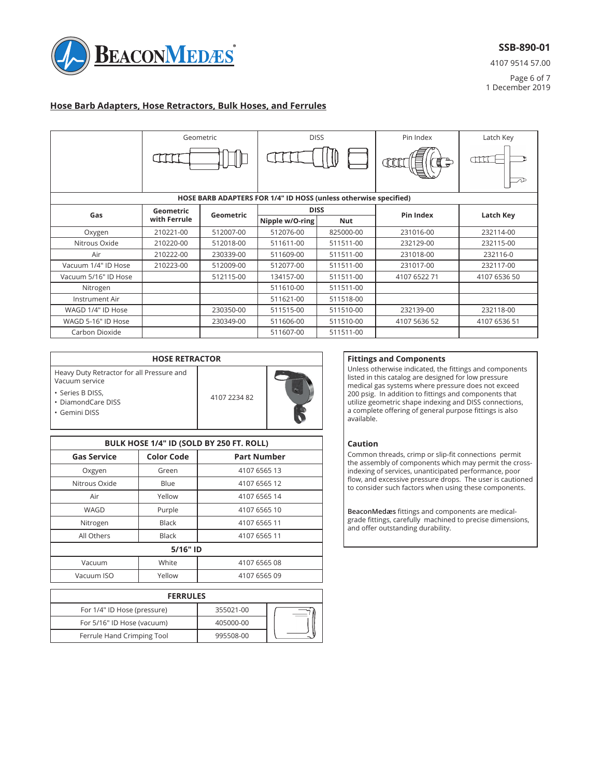

4107 9514 57.00

Page 6 of 7 1 December 2019

## **Hose Barb Adapters, Hose Retractors, Bulk Hoses, and Ferrules**

|                      | <b>DISS</b><br>Geometric |           |                                                                  |            | Pin Index    |              |
|----------------------|--------------------------|-----------|------------------------------------------------------------------|------------|--------------|--------------|
|                      |                          |           |                                                                  |            |              | Latch Key    |
|                      |                          |           |                                                                  |            | 盲<br>Œ<br>NN | CECC.        |
|                      |                          |           | HOSE BARB ADAPTERS FOR 1/4" ID HOSS (unless otherwise specified) |            |              |              |
| Gas                  | Geometric                | Geometric | <b>DISS</b>                                                      |            | Pin Index    | Latch Key    |
|                      | with Ferrule             |           | Nipple w/O-ring                                                  | <b>Nut</b> |              |              |
| Oxygen               | 210221-00                | 512007-00 | 512076-00                                                        | 825000-00  | 231016-00    | 232114-00    |
| Nitrous Oxide        | 210220-00                | 512018-00 | 511611-00                                                        | 511511-00  | 232129-00    | 232115-00    |
| Air                  | 210222-00                | 230339-00 | 511609-00                                                        | 511511-00  | 231018-00    | 232116-0     |
| Vacuum 1/4" ID Hose  | 210223-00                | 512009-00 | 512077-00                                                        | 511511-00  | 231017-00    | 232117-00    |
| Vacuum 5/16" ID Hose |                          | 512115-00 | 134157-00                                                        | 511511-00  | 4107 6522 71 | 4107 6536 50 |
| Nitrogen             |                          |           | 511610-00                                                        | 511511-00  |              |              |
| Instrument Air       |                          |           | 511621-00                                                        | 511518-00  |              |              |
| WAGD 1/4" ID Hose    |                          | 230350-00 | 511515-00                                                        | 511510-00  | 232139-00    | 232118-00    |
| WAGD 5-16" ID Hose   |                          | 230349-00 | 511606-00                                                        | 511510-00  | 4107 5636 52 | 4107 6536 51 |
| Carbon Dioxide       |                          |           | 511607-00                                                        | 511511-00  |              |              |

| <b>HOSE RETRACTOR</b>                                       |              |   |  |
|-------------------------------------------------------------|--------------|---|--|
| Heavy Duty Retractor for all Pressure and<br>Vacuum service |              |   |  |
| • Series B DISS,<br>• DiamondCare DISS<br>· Gemini DISS     | 4107 2234 82 | m |  |

| BULK HOSE 1/4" ID (SOLD BY 250 FT. ROLL) |                   |                    |  |  |
|------------------------------------------|-------------------|--------------------|--|--|
| <b>Gas Service</b>                       | <b>Color Code</b> | <b>Part Number</b> |  |  |
| Oxgyen                                   | Green             | 4107 6565 13       |  |  |
| Nitrous Oxide                            | Blue              | 4107 6565 12       |  |  |
| Air                                      | Yellow            | 4107 6565 14       |  |  |
| WAGD                                     | Purple            | 4107 6565 10       |  |  |
| Nitrogen                                 | <b>Black</b>      | 4107 6565 11       |  |  |
| All Others                               | <b>Black</b>      | 4107 6565 11       |  |  |
| 5/16" ID                                 |                   |                    |  |  |
| Vacuum                                   | White             | 4107 6565 08       |  |  |
| Vacuum ISO                               | Yellow            | 4107 6565 09       |  |  |

| <b>FERRULES</b>             |           |  |
|-----------------------------|-----------|--|
| For 1/4" ID Hose (pressure) | 355021-00 |  |
| For 5/16" ID Hose (vacuum)  | 405000-00 |  |
| Ferrule Hand Crimping Tool  | 995508-00 |  |

### **Fittings and Components**

Unless otherwise indicated, the fittings and components listed in this catalog are designed for low pressure medical gas systems where pressure does not exceed 200 psig. In addition to fittings and components that utilize geometric shape indexing and DISS connections, a complete offering of general purpose fittings is also available.

### **Caution**

Common threads, crimp or slip-fit connections permit the assembly of components which may permit the crossindexing of services, unanticipated performance, poor flow, and excessive pressure drops. The user is cautioned to consider such factors when using these components.

BeaconMedæs fittings and components are medicalgrade fittings, carefully machined to precise dimensions, and offer outstanding durability.